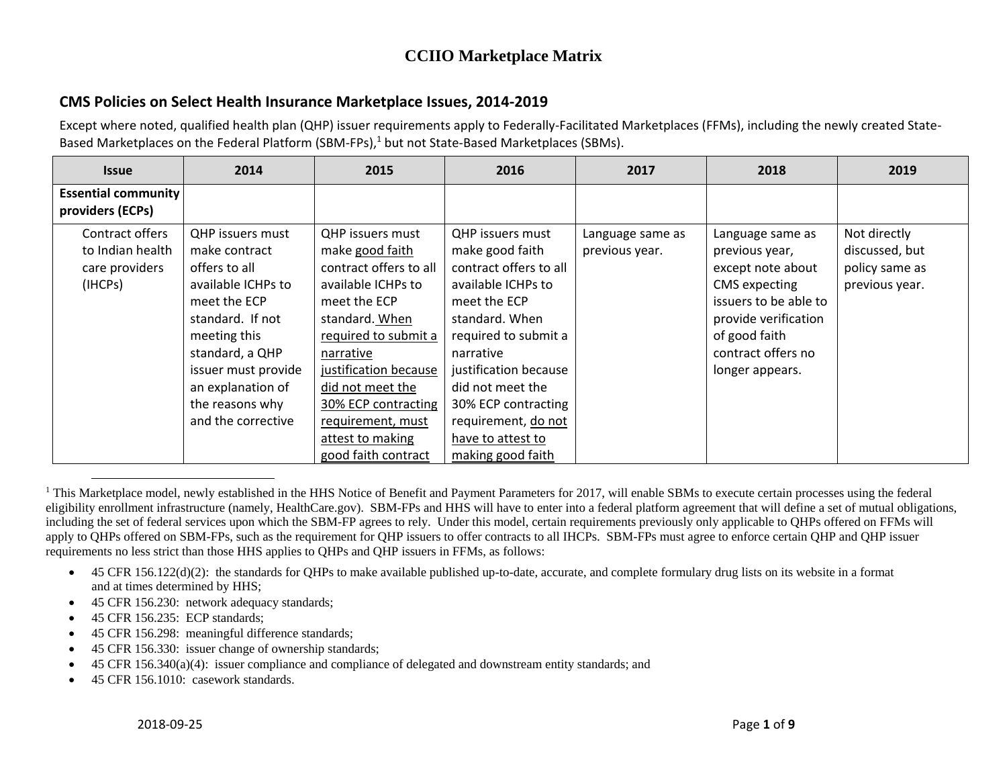### **CMS Policies on Select Health Insurance Marketplace Issues, 2014-2019**

| <b>Issue</b>                                   | 2014                    | 2015                    | 2016                    | 2017             | 2018                  | 2019           |
|------------------------------------------------|-------------------------|-------------------------|-------------------------|------------------|-----------------------|----------------|
| <b>Essential community</b><br>providers (ECPs) |                         |                         |                         |                  |                       |                |
| Contract offers                                | <b>QHP</b> issuers must | <b>OHP</b> issuers must | <b>QHP</b> issuers must | Language same as | Language same as      | Not directly   |
| to Indian health                               | make contract           | make good faith         | make good faith         | previous year.   | previous year,        | discussed, but |
| care providers                                 | offers to all           | contract offers to all  | contract offers to all  |                  | except note about     | policy same as |
| (IHCPs)                                        | available ICHPs to      | available ICHPs to      | available ICHPs to      |                  | <b>CMS</b> expecting  | previous year. |
|                                                | meet the ECP            | meet the ECP            | meet the ECP            |                  | issuers to be able to |                |
|                                                | standard. If not        | standard. When          | standard. When          |                  | provide verification  |                |
|                                                | meeting this            | required to submit a    | required to submit a    |                  | of good faith         |                |
|                                                | standard, a QHP         | narrative               | narrative               |                  | contract offers no    |                |
|                                                | issuer must provide     | justification because   | justification because   |                  | longer appears.       |                |
|                                                | an explanation of       | did not meet the        | did not meet the        |                  |                       |                |
|                                                | the reasons why         | 30% ECP contracting     | 30% ECP contracting     |                  |                       |                |
|                                                | and the corrective      | requirement, must       | requirement, do not     |                  |                       |                |
|                                                |                         | attest to making        | have to attest to       |                  |                       |                |
|                                                |                         | good faith contract     | making good faith       |                  |                       |                |

 $\overline{\phantom{a}}$ <sup>1</sup> This Marketplace model, newly established in the HHS Notice of Benefit and Payment Parameters for 2017, will enable SBMs to execute certain processes using the federal eligibility enrollment infrastructure (namely, HealthCare.gov). SBM-FPs and HHS will have to enter into a federal platform agreement that will define a set of mutual obligations, including the set of federal services upon which the SBM-FP agrees to rely. Under this model, certain requirements previously only applicable to QHPs offered on FFMs will apply to QHPs offered on SBM-FPs, such as the requirement for QHP issuers to offer contracts to all IHCPs. SBM-FPs must agree to enforce certain QHP and QHP issuer requirements no less strict than those HHS applies to QHPs and QHP issuers in FFMs, as follows:

- $\bullet$  45 CFR 156.122(d)(2): the standards for QHPs to make available published up-to-date, accurate, and complete formulary drug lists on its website in a format and at times determined by HHS;
- 45 CFR 156.230: network adequacy standards;
- 45 CFR 156.235: ECP standards;
- 45 CFR 156.298: meaningful difference standards;
- 45 CFR 156.330: issuer change of ownership standards;
- 45 CFR 156.340(a)(4): issuer compliance and compliance of delegated and downstream entity standards; and
- 45 CFR 156.1010: casework standards.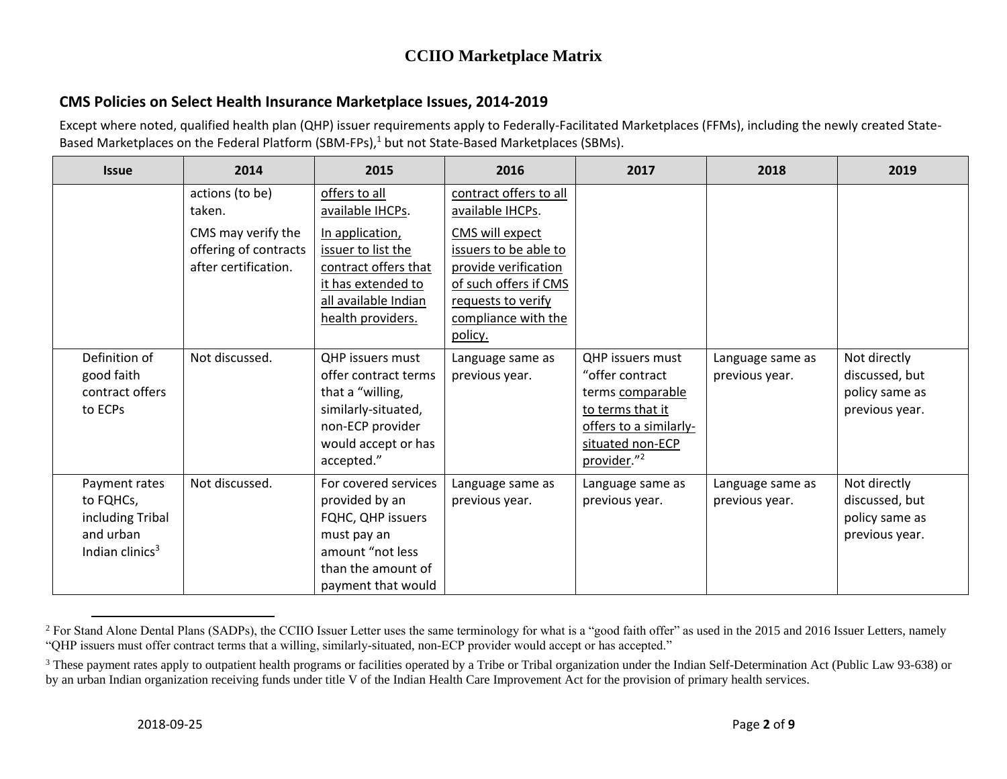### **CMS Policies on Select Health Insurance Marketplace Issues, 2014-2019**

| <b>Issue</b>                                                                      | 2014                                                                | 2015                                                                                                                                         | 2016                                                                                                                                              | 2017                                                                                                                                                        | 2018                               | 2019                                                               |
|-----------------------------------------------------------------------------------|---------------------------------------------------------------------|----------------------------------------------------------------------------------------------------------------------------------------------|---------------------------------------------------------------------------------------------------------------------------------------------------|-------------------------------------------------------------------------------------------------------------------------------------------------------------|------------------------------------|--------------------------------------------------------------------|
|                                                                                   | actions (to be)<br>taken.                                           | offers to all<br>available IHCPs.                                                                                                            | contract offers to all<br>available IHCPs.                                                                                                        |                                                                                                                                                             |                                    |                                                                    |
|                                                                                   | CMS may verify the<br>offering of contracts<br>after certification. | In application,<br>issuer to list the<br>contract offers that<br>it has extended to<br>all available Indian<br>health providers.             | CMS will expect<br>issuers to be able to<br>provide verification<br>of such offers if CMS<br>requests to verify<br>compliance with the<br>policy. |                                                                                                                                                             |                                    |                                                                    |
| Definition of<br>good faith<br>contract offers<br>to ECPs                         | Not discussed.                                                      | QHP issuers must<br>offer contract terms<br>that a "willing,<br>similarly-situated,<br>non-ECP provider<br>would accept or has<br>accepted." | Language same as<br>previous year.                                                                                                                | <b>OHP</b> issuers must<br>"offer contract<br>terms comparable<br>to terms that it<br>offers to a similarly-<br>situated non-ECP<br>provider." <sup>2</sup> | Language same as<br>previous year. | Not directly<br>discussed, but<br>policy same as<br>previous year. |
| Payment rates<br>to FQHCs,<br>including Tribal<br>and urban<br>Indian clinics $3$ | Not discussed.                                                      | For covered services<br>provided by an<br>FQHC, QHP issuers<br>must pay an<br>amount "not less<br>than the amount of<br>payment that would   | Language same as<br>previous year.                                                                                                                | Language same as<br>previous year.                                                                                                                          | Language same as<br>previous year. | Not directly<br>discussed, but<br>policy same as<br>previous year. |

 $\overline{\phantom{a}}$ <sup>2</sup> For Stand Alone Dental Plans (SADPs), the CCIIO Issuer Letter uses the same terminology for what is a "good faith offer" as used in the 2015 and 2016 Issuer Letters, namely "OHP issuers must offer contract terms that a willing, similarly-situated, non-ECP provider would accept or has accepted."

<sup>&</sup>lt;sup>3</sup> These payment rates apply to outpatient health programs or facilities operated by a Tribe or Tribal organization under the Indian Self-Determination Act (Public Law 93-638) or by an urban Indian organization receiving funds under title V of the Indian Health Care Improvement Act for the provision of primary health services.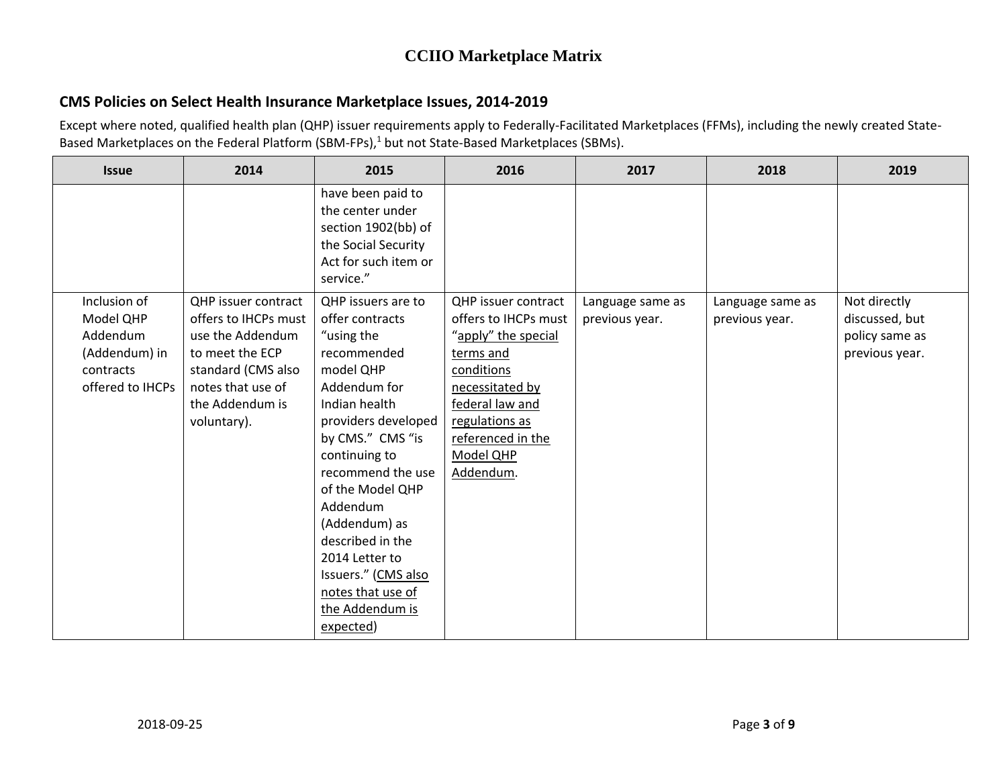### **CMS Policies on Select Health Insurance Marketplace Issues, 2014-2019**

| <b>Issue</b>     | 2014                 | 2015                                                                                                                     | 2016                       | 2017             | 2018             | 2019           |
|------------------|----------------------|--------------------------------------------------------------------------------------------------------------------------|----------------------------|------------------|------------------|----------------|
|                  |                      | have been paid to<br>the center under<br>section 1902(bb) of<br>the Social Security<br>Act for such item or<br>service." |                            |                  |                  |                |
| Inclusion of     | QHP issuer contract  | QHP issuers are to                                                                                                       | <b>QHP</b> issuer contract | Language same as | Language same as | Not directly   |
| Model QHP        | offers to IHCPs must | offer contracts                                                                                                          | offers to IHCPs must       | previous year.   | previous year.   | discussed, but |
| Addendum         | use the Addendum     | "using the                                                                                                               | "apply" the special        |                  |                  | policy same as |
| (Addendum) in    | to meet the ECP      | recommended                                                                                                              | terms and                  |                  |                  | previous year. |
| contracts        | standard (CMS also   | model QHP                                                                                                                | conditions                 |                  |                  |                |
| offered to IHCPs | notes that use of    | Addendum for                                                                                                             | necessitated by            |                  |                  |                |
|                  | the Addendum is      | Indian health                                                                                                            | federal law and            |                  |                  |                |
|                  | voluntary).          | providers developed                                                                                                      | regulations as             |                  |                  |                |
|                  |                      | by CMS." CMS "is                                                                                                         | referenced in the          |                  |                  |                |
|                  |                      | continuing to                                                                                                            | Model QHP                  |                  |                  |                |
|                  |                      | recommend the use                                                                                                        | Addendum.                  |                  |                  |                |
|                  |                      | of the Model QHP                                                                                                         |                            |                  |                  |                |
|                  |                      | Addendum                                                                                                                 |                            |                  |                  |                |
|                  |                      | (Addendum) as                                                                                                            |                            |                  |                  |                |
|                  |                      | described in the                                                                                                         |                            |                  |                  |                |
|                  |                      | 2014 Letter to                                                                                                           |                            |                  |                  |                |
|                  |                      | Issuers." (CMS also                                                                                                      |                            |                  |                  |                |
|                  |                      | notes that use of                                                                                                        |                            |                  |                  |                |
|                  |                      | the Addendum is                                                                                                          |                            |                  |                  |                |
|                  |                      | expected)                                                                                                                |                            |                  |                  |                |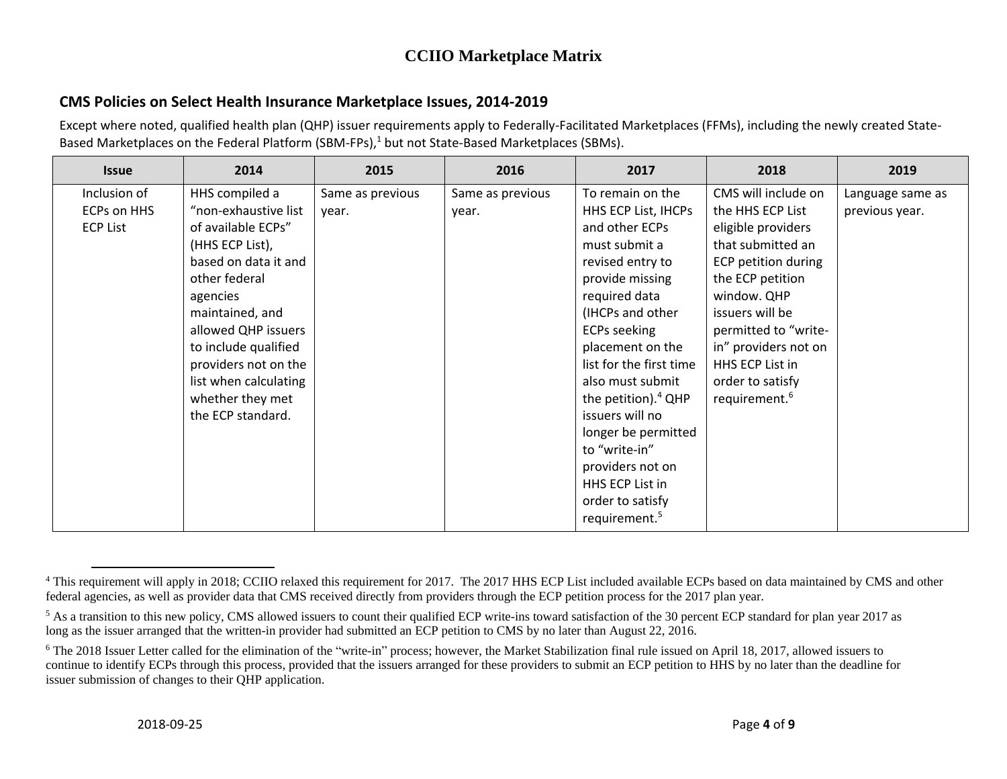### **CMS Policies on Select Health Insurance Marketplace Issues, 2014-2019**

Except where noted, qualified health plan (QHP) issuer requirements apply to Federally-Facilitated Marketplaces (FFMs), including the newly created State-Based Marketplaces on the Federal Platform (SBM-FPs),<sup>1</sup> but not State-Based Marketplaces (SBMs).

| <b>Issue</b>       | 2014                  | 2015             | 2016             | 2017                      | 2018                      | 2019             |
|--------------------|-----------------------|------------------|------------------|---------------------------|---------------------------|------------------|
| Inclusion of       | HHS compiled a        | Same as previous | Same as previous | To remain on the          | CMS will include on       | Language same as |
| <b>ECPs on HHS</b> | "non-exhaustive list  | year.            | year.            | HHS ECP List, IHCPs       | the HHS ECP List          | previous year.   |
| <b>ECP List</b>    | of available ECPs"    |                  |                  | and other ECPs            | eligible providers        |                  |
|                    | (HHS ECP List),       |                  |                  | must submit a             | that submitted an         |                  |
|                    | based on data it and  |                  |                  | revised entry to          | ECP petition during       |                  |
|                    | other federal         |                  |                  | provide missing           | the ECP petition          |                  |
|                    | agencies              |                  |                  | required data             | window. QHP               |                  |
|                    | maintained, and       |                  |                  | (IHCPs and other          | issuers will be           |                  |
|                    | allowed QHP issuers   |                  |                  | <b>ECPs seeking</b>       | permitted to "write-      |                  |
|                    | to include qualified  |                  |                  | placement on the          | in" providers not on      |                  |
|                    | providers not on the  |                  |                  | list for the first time   | HHS ECP List in           |                  |
|                    | list when calculating |                  |                  | also must submit          | order to satisfy          |                  |
|                    | whether they met      |                  |                  | the petition). $4$ QHP    | requirement. <sup>6</sup> |                  |
|                    | the ECP standard.     |                  |                  | issuers will no           |                           |                  |
|                    |                       |                  |                  | longer be permitted       |                           |                  |
|                    |                       |                  |                  | to "write-in"             |                           |                  |
|                    |                       |                  |                  | providers not on          |                           |                  |
|                    |                       |                  |                  | HHS ECP List in           |                           |                  |
|                    |                       |                  |                  | order to satisfy          |                           |                  |
|                    |                       |                  |                  | requirement. <sup>5</sup> |                           |                  |

 $\overline{\phantom{a}}$ 

<sup>&</sup>lt;sup>4</sup> This requirement will apply in 2018; CCIIO relaxed this requirement for 2017. The 2017 HHS ECP List included available ECPs based on data maintained by CMS and other federal agencies, as well as provider data that CMS received directly from providers through the ECP petition process for the 2017 plan year.

<sup>&</sup>lt;sup>5</sup> As a transition to this new policy, CMS allowed issuers to count their qualified ECP write-ins toward satisfaction of the 30 percent ECP standard for plan year 2017 as long as the issuer arranged that the written-in provider had submitted an ECP petition to CMS by no later than August 22, 2016.

<sup>&</sup>lt;sup>6</sup> The 2018 Issuer Letter called for the elimination of the "write-in" process; however, the Market Stabilization final rule issued on April 18, 2017, allowed issuers to continue to identify ECPs through this process, provided that the issuers arranged for these providers to submit an ECP petition to HHS by no later than the deadline for issuer submission of changes to their QHP application.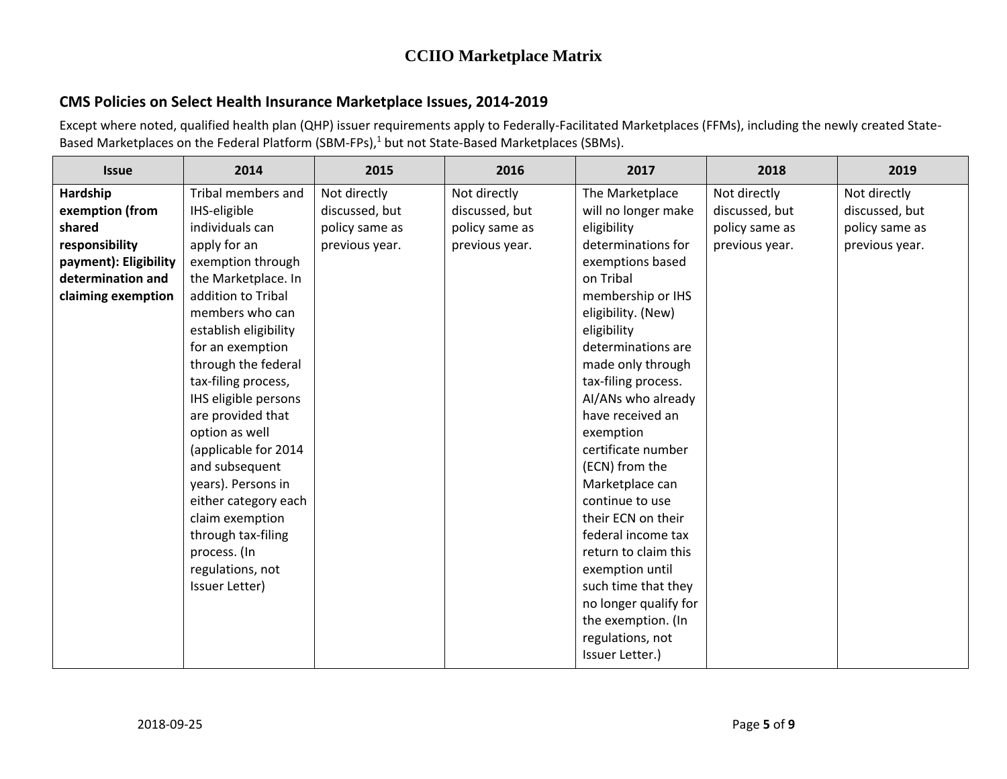### **CMS Policies on Select Health Insurance Marketplace Issues, 2014-2019**

| <b>Issue</b>          | 2014                  | 2015           | 2016           | 2017                  | 2018           | 2019           |
|-----------------------|-----------------------|----------------|----------------|-----------------------|----------------|----------------|
| Hardship              | Tribal members and    | Not directly   | Not directly   | The Marketplace       | Not directly   | Not directly   |
| exemption (from       | IHS-eligible          | discussed, but | discussed, but | will no longer make   | discussed, but | discussed, but |
| shared                | individuals can       | policy same as | policy same as | eligibility           | policy same as | policy same as |
| responsibility        | apply for an          | previous year. | previous year. | determinations for    | previous year. | previous year. |
| payment): Eligibility | exemption through     |                |                | exemptions based      |                |                |
| determination and     | the Marketplace. In   |                |                | on Tribal             |                |                |
| claiming exemption    | addition to Tribal    |                |                | membership or IHS     |                |                |
|                       | members who can       |                |                | eligibility. (New)    |                |                |
|                       | establish eligibility |                |                | eligibility           |                |                |
|                       | for an exemption      |                |                | determinations are    |                |                |
|                       | through the federal   |                |                | made only through     |                |                |
|                       | tax-filing process,   |                |                | tax-filing process.   |                |                |
|                       | IHS eligible persons  |                |                | Al/ANs who already    |                |                |
|                       | are provided that     |                |                | have received an      |                |                |
|                       | option as well        |                |                | exemption             |                |                |
|                       | (applicable for 2014  |                |                | certificate number    |                |                |
|                       | and subsequent        |                |                | (ECN) from the        |                |                |
|                       | years). Persons in    |                |                | Marketplace can       |                |                |
|                       | either category each  |                |                | continue to use       |                |                |
|                       | claim exemption       |                |                | their ECN on their    |                |                |
|                       | through tax-filing    |                |                | federal income tax    |                |                |
|                       | process. (In          |                |                | return to claim this  |                |                |
|                       | regulations, not      |                |                | exemption until       |                |                |
|                       | Issuer Letter)        |                |                | such time that they   |                |                |
|                       |                       |                |                | no longer qualify for |                |                |
|                       |                       |                |                | the exemption. (In    |                |                |
|                       |                       |                |                | regulations, not      |                |                |
|                       |                       |                |                | Issuer Letter.)       |                |                |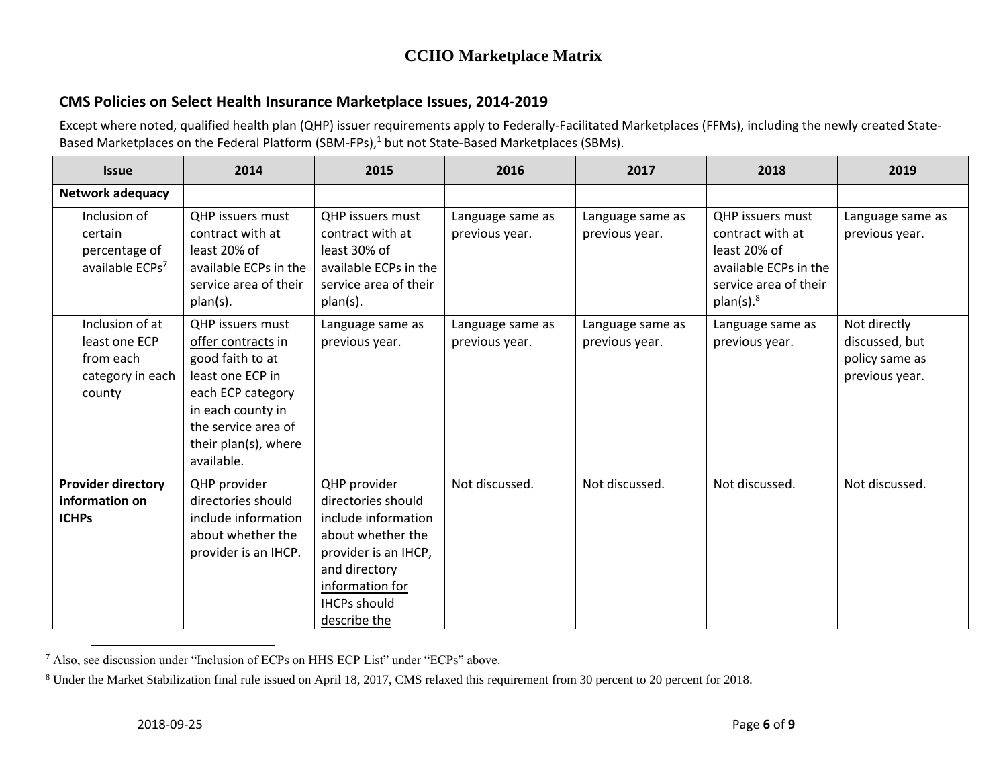### **CMS Policies on Select Health Insurance Marketplace Issues, 2014-2019**

| <b>Issue</b>                                                                | 2014                                                                                                                                                                                         | 2015                                                                                                                                                                              | 2016                               | 2017                               | 2018                                                                                                                              | 2019                                                               |
|-----------------------------------------------------------------------------|----------------------------------------------------------------------------------------------------------------------------------------------------------------------------------------------|-----------------------------------------------------------------------------------------------------------------------------------------------------------------------------------|------------------------------------|------------------------------------|-----------------------------------------------------------------------------------------------------------------------------------|--------------------------------------------------------------------|
| Network adequacy                                                            |                                                                                                                                                                                              |                                                                                                                                                                                   |                                    |                                    |                                                                                                                                   |                                                                    |
| Inclusion of<br>certain<br>percentage of<br>available ECPs <sup>7</sup>     | <b>QHP</b> issuers must<br>contract with at<br>least 20% of<br>available ECPs in the<br>service area of their<br>plan(s).                                                                    | QHP issuers must<br>contract with at<br>least 30% of<br>available ECPs in the<br>service area of their<br>plan(s).                                                                | Language same as<br>previous year. | Language same as<br>previous year. | QHP issuers must<br>contract with at<br>least 20% of<br>available ECPs in the<br>service area of their<br>$plan(s).$ <sup>8</sup> | Language same as<br>previous year.                                 |
| Inclusion of at<br>least one ECP<br>from each<br>category in each<br>county | <b>OHP</b> issuers must<br>offer contracts in<br>good faith to at<br>least one ECP in<br>each ECP category<br>in each county in<br>the service area of<br>their plan(s), where<br>available. | Language same as<br>previous year.                                                                                                                                                | Language same as<br>previous year. | Language same as<br>previous year. | Language same as<br>previous year.                                                                                                | Not directly<br>discussed, but<br>policy same as<br>previous year. |
| <b>Provider directory</b><br>information on<br><b>ICHPs</b>                 | QHP provider<br>directories should<br>include information<br>about whether the<br>provider is an IHCP.                                                                                       | QHP provider<br>directories should<br>include information<br>about whether the<br>provider is an IHCP,<br>and directory<br>information for<br><b>IHCPs should</b><br>describe the | Not discussed.                     | Not discussed.                     | Not discussed.                                                                                                                    | Not discussed.                                                     |

 $\overline{\phantom{a}}$ <sup>7</sup> Also, see discussion under "Inclusion of ECPs on HHS ECP List" under "ECPs" above.

<sup>8</sup> Under the Market Stabilization final rule issued on April 18, 2017, CMS relaxed this requirement from 30 percent to 20 percent for 2018.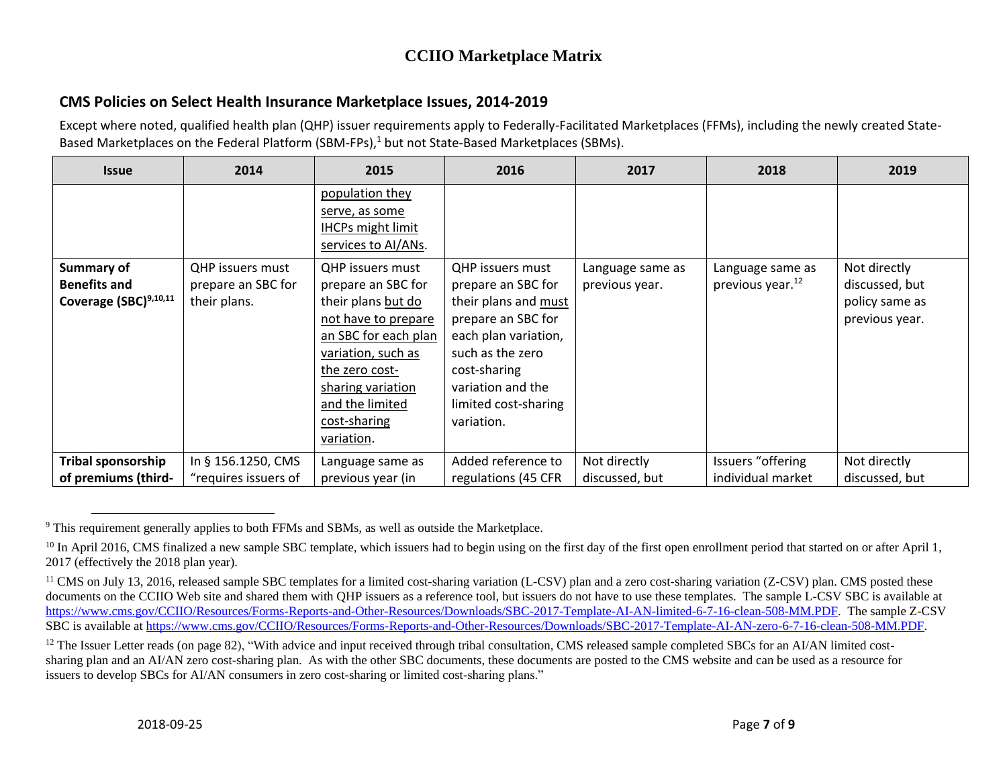### **CMS Policies on Select Health Insurance Marketplace Issues, 2014-2019**

| <b>Issue</b>                                                      | 2014                                                   | 2015                                                                                                                                                                                                                             | 2016                                                                                                                                                                                                               | 2017                               | 2018                                             | 2019                                                               |
|-------------------------------------------------------------------|--------------------------------------------------------|----------------------------------------------------------------------------------------------------------------------------------------------------------------------------------------------------------------------------------|--------------------------------------------------------------------------------------------------------------------------------------------------------------------------------------------------------------------|------------------------------------|--------------------------------------------------|--------------------------------------------------------------------|
|                                                                   |                                                        | population they<br>serve, as some<br><b>IHCPs might limit</b><br>services to AI/ANs.                                                                                                                                             |                                                                                                                                                                                                                    |                                    |                                                  |                                                                    |
| <b>Summary of</b><br><b>Benefits and</b><br>Coverage (SBC)9,10,11 | QHP issuers must<br>prepare an SBC for<br>their plans. | <b>QHP</b> issuers must<br>prepare an SBC for<br>their plans but do<br>not have to prepare<br>an SBC for each plan<br>variation, such as<br>the zero cost-<br>sharing variation<br>and the limited<br>cost-sharing<br>variation. | <b>QHP</b> issuers must<br>prepare an SBC for<br>their plans and must<br>prepare an SBC for<br>each plan variation,<br>such as the zero<br>cost-sharing<br>variation and the<br>limited cost-sharing<br>variation. | Language same as<br>previous year. | Language same as<br>previous year. <sup>12</sup> | Not directly<br>discussed, but<br>policy same as<br>previous year. |
| <b>Tribal sponsorship</b><br>of premiums (third-                  | In § 156.1250, CMS<br>"requires issuers of             | Language same as<br>previous year (in                                                                                                                                                                                            | Added reference to<br>regulations (45 CFR                                                                                                                                                                          | Not directly<br>discussed, but     | Issuers "offering<br>individual market           | Not directly<br>discussed, but                                     |

 $\overline{\phantom{a}}$ <sup>9</sup> This requirement generally applies to both FFMs and SBMs, as well as outside the Marketplace.

<sup>&</sup>lt;sup>10</sup> In April 2016, CMS finalized a new sample SBC template, which issuers had to begin using on the first day of the first open enrollment period that started on or after April 1, 2017 (effectively the 2018 plan year).

<sup>&</sup>lt;sup>11</sup> CMS on July 13, 2016, released sample SBC templates for a limited cost-sharing variation (L-CSV) plan and a zero cost-sharing variation (Z-CSV) plan. CMS posted these documents on the CCIIO Web site and shared them with QHP issuers as a reference tool, but issuers do not have to use these templates. The sample L-CSV SBC is available at [https://www.cms.gov/CCIIO/Resources/Forms-Reports-and-Other-Resources/Downloads/SBC-2017-Template-AI-AN-limited-6-7-16-clean-508-MM.PDF.](https://www.cms.gov/CCIIO/Resources/Forms-Reports-and-Other-Resources/Downloads/SBC-2017-Template-AI-AN-limited-6-7-16-clean-508-MM.PDF) The sample Z-CSV SBC is available at [https://www.cms.gov/CCIIO/Resources/Forms-Reports-and-Other-Resources/Downloads/SBC-2017-Template-AI-AN-zero-6-7-16-clean-508-MM.PDF.](https://www.cms.gov/CCIIO/Resources/Forms-Reports-and-Other-Resources/Downloads/SBC-2017-Template-AI-AN-zero-6-7-16-clean-508-MM.PDF)

<sup>&</sup>lt;sup>12</sup> The Issuer Letter reads (on page 82), "With advice and input received through tribal consultation, CMS released sample completed SBCs for an AI/AN limited costsharing plan and an AI/AN zero cost-sharing plan. As with the other SBC documents, these documents are posted to the CMS website and can be used as a resource for issuers to develop SBCs for AI/AN consumers in zero cost-sharing or limited cost-sharing plans."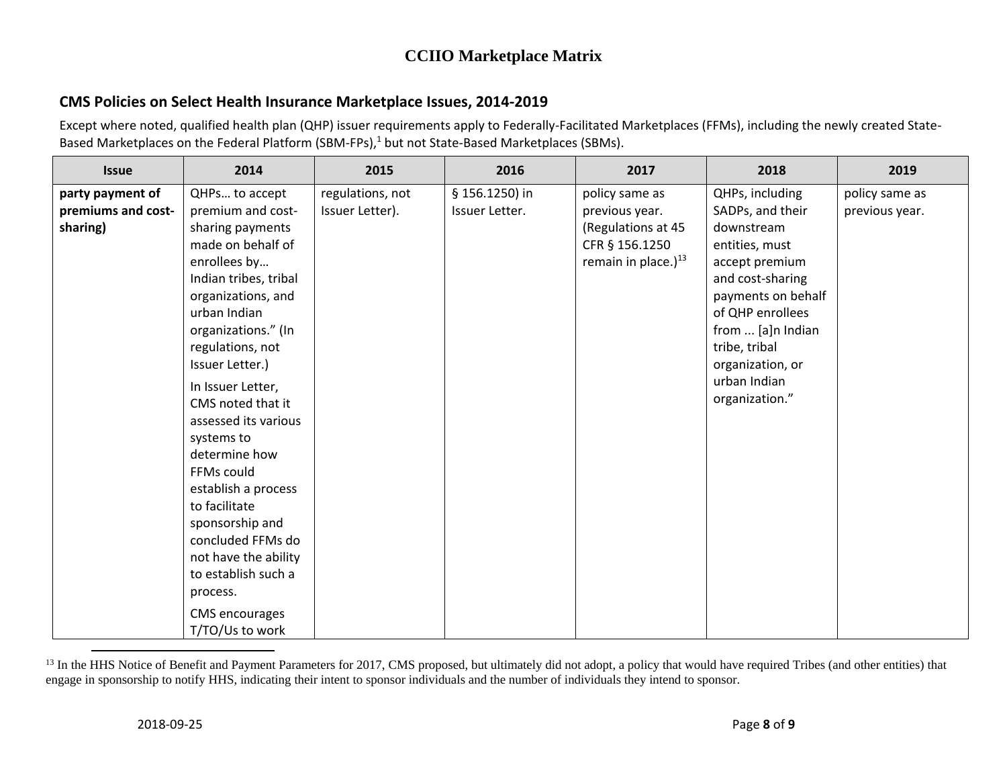### **CMS Policies on Select Health Insurance Marketplace Issues, 2014-2019**

Except where noted, qualified health plan (QHP) issuer requirements apply to Federally-Facilitated Marketplaces (FFMs), including the newly created State-Based Marketplaces on the Federal Platform (SBM-FPs),<sup>1</sup> but not State-Based Marketplaces (SBMs).

| <b>Issue</b>       | 2014                  | 2015             | 2016           | 2017                   | 2018               | 2019           |
|--------------------|-----------------------|------------------|----------------|------------------------|--------------------|----------------|
| party payment of   | QHPs to accept        | regulations, not | § 156.1250) in | policy same as         | QHPs, including    | policy same as |
| premiums and cost- | premium and cost-     | Issuer Letter).  | Issuer Letter. | previous year.         | SADPs, and their   | previous year. |
| sharing)           | sharing payments      |                  |                | (Regulations at 45     | downstream         |                |
|                    | made on behalf of     |                  |                | CFR § 156.1250         | entities, must     |                |
|                    | enrollees by          |                  |                | remain in place.) $13$ | accept premium     |                |
|                    | Indian tribes, tribal |                  |                |                        | and cost-sharing   |                |
|                    | organizations, and    |                  |                |                        | payments on behalf |                |
|                    | urban Indian          |                  |                |                        | of QHP enrollees   |                |
|                    | organizations." (In   |                  |                |                        | from  [a]n Indian  |                |
|                    | regulations, not      |                  |                |                        | tribe, tribal      |                |
|                    | Issuer Letter.)       |                  |                |                        | organization, or   |                |
|                    | In Issuer Letter,     |                  |                |                        | urban Indian       |                |
|                    | CMS noted that it     |                  |                |                        | organization."     |                |
|                    | assessed its various  |                  |                |                        |                    |                |
|                    | systems to            |                  |                |                        |                    |                |
|                    | determine how         |                  |                |                        |                    |                |
|                    | FFMs could            |                  |                |                        |                    |                |
|                    | establish a process   |                  |                |                        |                    |                |
|                    | to facilitate         |                  |                |                        |                    |                |
|                    | sponsorship and       |                  |                |                        |                    |                |
|                    | concluded FFMs do     |                  |                |                        |                    |                |
|                    | not have the ability  |                  |                |                        |                    |                |
|                    | to establish such a   |                  |                |                        |                    |                |
|                    | process.              |                  |                |                        |                    |                |
|                    | <b>CMS</b> encourages |                  |                |                        |                    |                |
|                    | T/TO/Us to work       |                  |                |                        |                    |                |

<sup>&</sup>lt;sup>13</sup> In the HHS Notice of Benefit and Payment Parameters for 2017, CMS proposed, but ultimately did not adopt, a policy that would have required Tribes (and other entities) that engage in sponsorship to notify HHS, indicating their intent to sponsor individuals and the number of individuals they intend to sponsor.

 $\overline{\phantom{a}}$